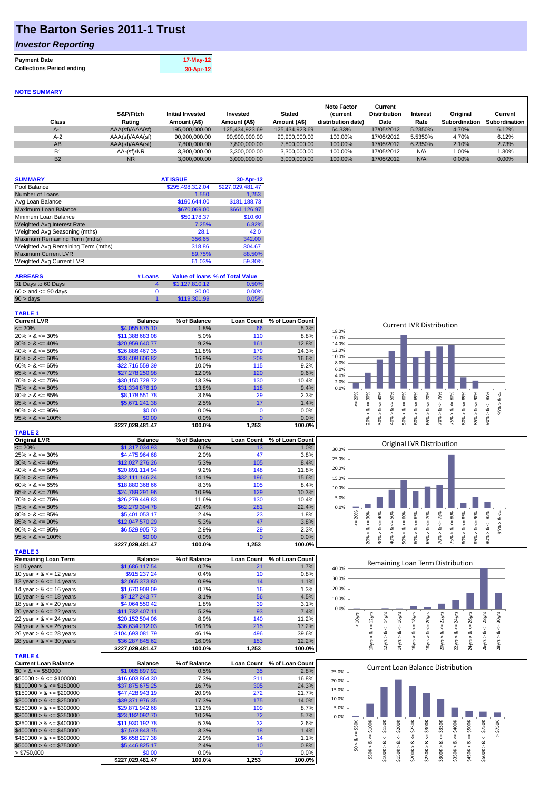# **The Barton Series 2011-1 Trust**

### *Investor Reporting*

| <b>Payment Date</b>              | 17-May-12 |
|----------------------------------|-----------|
| <b>Collections Period ending</b> | 30-Apr-12 |
|                                  |           |

#### **NOTE SUMMARY**

| Class     | S&P/Fitch<br>Rating | <b>Initial Invested</b><br>Amount (A\$) | Invested<br>Amount (A\$) | <b>Stated</b><br>Amount (A\$) | <b>Note Factor</b><br><b>Current</b><br>distribution date) | Current<br><b>Distribution</b><br>Date | Interest<br>Rate | Original<br><b>Subordination</b> | Current<br>Subordination |
|-----------|---------------------|-----------------------------------------|--------------------------|-------------------------------|------------------------------------------------------------|----------------------------------------|------------------|----------------------------------|--------------------------|
| $A-1$     | AAA(sf)/AAA(sf)     | 195.000.000.00                          | 125.434.923.69           | 125.434.923.69                | 64.33%                                                     | 17/05/2012                             | 5.2350%          | 4.70%                            | 6.12%                    |
| $A-2$     | AAA(sf)/AAA(sf)     | 90,900,000.00                           | 90,900,000.00            | 90,900,000.00                 | 100.00%                                                    | 17/05/2012                             | 5.5350%          | 4.70%                            | 6.12%                    |
| AB        | AAA(sf)/AAA(sf)     | 7.800.000.00                            | 7.800.000.00             | 7,800,000.00                  | 100.00%                                                    | 17/05/2012                             | 6.2350%          | 2.10%                            | 2.73%                    |
| <b>B1</b> | AA-(sf)/NR          | 3.300.000.00                            | 3.300.000.00             | 3.300.000.00                  | 100.00%                                                    | 17/05/2012                             | N/A              | 1.00%                            | .30%                     |
| <b>B2</b> | <b>NR</b>           | 3.000.000.00                            | 3.000.000.00             | 3.000.000.00                  | 100.00%                                                    | 17/05/2012                             | N/A              | 0.00%                            | 0.00%                    |

| <b>SUMMARY</b>                     | <b>AT ISSUE</b>  | 30-Apr-12        |
|------------------------------------|------------------|------------------|
| Pool Balance                       | \$295,498,312.04 | \$227,029,481.47 |
| Number of Loans                    | 1,550            | 1.253            |
| Avg Loan Balance                   | \$190,644.00     | \$181,188.73     |
| Maximum Loan Balance               | \$670,069.00     | \$661,126.97     |
| Minimum Loan Balance               | \$50,178.37      | \$10.60          |
| <b>Weighted Avg Interest Rate</b>  | 7.25%            | 6.82%            |
| Weighted Avg Seasoning (mths)      | 28.1             | 42.0             |
| Maximum Remaining Term (mths)      | 356.65           | 342.00           |
| Weighted Avg Remaining Term (mths) | 318.86           | 304.67           |
| <b>Maximum Current LVR</b>         | 89.75%           | 88.50%           |
| Weighted Avg Current LVR           | 61.03%           | 59.30%           |

| <b>ARREARS</b>            | # Loans |                | Value of Ioans % of Total Value |
|---------------------------|---------|----------------|---------------------------------|
| 31 Days to 60 Days        |         | \$1,127,810,12 | 0.50%                           |
| $60 >$ and $\leq 90$ days |         | \$0.00         | 0.00%                           |
| $90 > \text{days}$        |         | \$119,301.99   | 0.05%                           |

#### **TABLE 1**

| Current LVR                 | <b>Balance</b>   | % of Balance | <b>Loan Count</b> | % of Loan Count | <b>Current LVR Distribution</b>                                                                                                                                                                                |
|-----------------------------|------------------|--------------|-------------------|-----------------|----------------------------------------------------------------------------------------------------------------------------------------------------------------------------------------------------------------|
| $\leq$ 20%                  | \$4,055,875.10   | 1.8%         | 66                | 5.3%            | 18.0%                                                                                                                                                                                                          |
| $20\% > 8 \le 30\%$         | \$11,388,683.08  | 5.0%         | 110               | 8.8%            | 16.0%                                                                                                                                                                                                          |
| $30\% > 8 \le 40\%$         | \$20,959,640.77  | 9.2%         | 161               | 12.8%           | 14.0%                                                                                                                                                                                                          |
| $40\% > 8 \le 50\%$         | \$26,886,467.35  | 11.8%        | 179               | 14.3%           | 12.0%                                                                                                                                                                                                          |
| $50\% > 8 \le 60\%$         | \$38,408,606.82  | 16.9%        | 208               | 16.6%           | 10.0%                                                                                                                                                                                                          |
| $60\% > 8 \le 65\%$         | \$22,716,559.39  | 10.0%        | 115               | 9.2%            | 8.0%                                                                                                                                                                                                           |
| $65\% > 8 \le 70\%$         | \$27,278,250.98  | 12.0%        | 120               | 9.6%            | 6.0%                                                                                                                                                                                                           |
| $70\% > 8 \le 75\%$         | \$30,150,728.72  | 13.3%        | 130               | 10.4%           | 4.0%<br>2.0%                                                                                                                                                                                                   |
| $75\% > 8 \le 80\%$         | \$31,334,876.10  | 13.8%        | 118               | 9.4%            | 0.0%                                                                                                                                                                                                           |
| $80\% > 8 \le 85\%$         | \$8,178,551.78   | 3.6%         | 29                | 2.3%            | 65%<br>50%<br>60%<br>70%<br>80%<br>90%<br>95%<br>20%<br>40%                                                                                                                                                    |
| $85\% > 8 \le 90\%$         | \$5,671,241.38   | 2.5%         | 17                | 1.4%            | $<=85\%$<br>$<=$ 30%<br>∞                                                                                                                                                                                      |
| $90\% > 8 \le 95\%$         | \$0.00           | 0.0%         | $\mathbf 0$       | 0.0%            | $<=75%$<br>J.<br>ł,<br>V<br>IJ,<br>IJ,<br>₩<br>₩<br>₩<br>ઌૢ<br>$\dot{\infty}$<br>∞<br>∞<br>ಷ<br>∞<br>∞<br>∞                                                                                                    |
|                             | \$0.00           | 0.0%         |                   |                 | $90\% > 8$<br>95%                                                                                                                                                                                              |
| $95\% > 8 \le 100\%$        |                  | 100.0%       | 1,253             | 0.0%<br>100.0%  | 20% ><br>30%<br>40% ><br>60% ><br>65% ><br>70% ><br>75% ><br>80%<br>85% ><br>50% >                                                                                                                             |
|                             | \$227,029,481.47 |              |                   |                 |                                                                                                                                                                                                                |
| <b>TABLE 2</b>              |                  |              |                   |                 |                                                                                                                                                                                                                |
| <b>Original LVR</b>         | <b>Balance</b>   | % of Balance | <b>Loan Count</b> | % of Loan Count | Original LVR Distribution                                                                                                                                                                                      |
| $\leq$ 20%                  | \$1,317,034.93   | 0.6%         | 13                | 1.0%            | 30.0%                                                                                                                                                                                                          |
| $25\% > 8 \le 30\%$         | \$4,475,964.68   | 2.0%         | 47                | 3.8%            | 25.0%                                                                                                                                                                                                          |
| $30\% > 8 \le 40\%$         | \$12,027,276.26  | 5.3%         | 105               | 8.4%            |                                                                                                                                                                                                                |
| $40\% > 8 \le 50\%$         | \$20,891,114.94  | 9.2%         | 148               | 11.8%           | 20.0%                                                                                                                                                                                                          |
| $50\% > 8 \le 60\%$         | \$32,111,146.24  | 14.1%        | 196               | 15.6%           | 15.0%                                                                                                                                                                                                          |
| $60\% > 8 \le 65\%$         | \$18,880,368.66  | 8.3%         | 105               | 8.4%            | 10.0%                                                                                                                                                                                                          |
| $65\% > 8 \le 70\%$         | \$24,789,291.96  | 10.9%        | 129               | 10.3%           |                                                                                                                                                                                                                |
| $70\% > 8 \le 75\%$         | \$26,279,449.83  | 11.6%        | 130               | 10.4%           | 5.0%                                                                                                                                                                                                           |
| $75\% > 8 \le 80\%$         | \$62,279,304.78  | 27.4%        | 281               | 22.4%           | 0.0%                                                                                                                                                                                                           |
| $80\% > 8 \le 85\%$         | \$5,401,053.17   | 2.4%         | 23                | 1.8%            | 80%<br>90%<br>40%<br>60%<br>70%<br>20%                                                                                                                                                                         |
| $85\% > 8 \le 90\%$         | \$12,047,570.29  | 5.3%         | 47                | 3.8%            | $<= 85\%$<br>$4 = 30%$<br>$<=$ 50%<br>$<=65\%$<br>$<= 75\%$<br>$<=95%$<br>∞<br>V<br>₩<br>₩<br>₩<br>₩                                                                                                           |
| $90\% > 8 \le 95\%$         | \$6,529,905.73   | 2.9%         | 29                | 2.3%            | 95%<br>ಹ<br>ಹ<br>ಹ<br>ಂಶ<br>∞<br>ಷ<br>ಷ<br>ಷ<br>ಷ<br>ಹ                                                                                                                                                         |
| $95\% > 8 \le 100\%$        | \$0.00           | 0.0%         |                   | 0.0%            | 20% ><br>80% ><br>85%<br>$-50%$<br>30%<br>40% ><br>50%<br>60% ><br>65% ><br>70% ><br>75% >                                                                                                                     |
|                             | \$227,029,481.47 | 100.0%       | 1,253             | 100.0%          |                                                                                                                                                                                                                |
| <b>TABLE 3</b>              |                  |              |                   |                 |                                                                                                                                                                                                                |
| <b>Remaining Loan Term</b>  | <b>Balance</b>   | % of Balance | Loan Count        | % of Loan Count |                                                                                                                                                                                                                |
| < 10 years                  | \$1,686,117.54   | 0.7%         | 21                | 1.7%            | Remaining Loan Term Distribution                                                                                                                                                                               |
| 10 year $> 8 \le 12$ years  | \$915,237.24     | 0.4%         | 10                | 0.8%            | 40.0%                                                                                                                                                                                                          |
| 12 year $> 8 \le 14$ years  | \$2,065,373.80   | 0.9%         | 14                | 1.1%            | 30.0%                                                                                                                                                                                                          |
|                             | \$1,670,908.09   | 0.7%         | 16                | 1.3%            | 20.0%                                                                                                                                                                                                          |
| 14 year $> 8 \le 16$ years  |                  |              |                   |                 |                                                                                                                                                                                                                |
| 16 year $> 8 \le 18$ years  | \$7,127,243.77   | 3.1%         | 56                | 4.5%            | 10.0%                                                                                                                                                                                                          |
| 18 year $> 8 \le 20$ years  | \$4,064,550.42   | 1.8%         | 39                | 3.1%            | 0.0%                                                                                                                                                                                                           |
| 20 year $> 8 \le 22$ years  | \$11,732,407.11  | 5.2%         | 93                | 7.4%            |                                                                                                                                                                                                                |
| 22 year $> 8 \le 24$ years  | \$20,152,504.06  | 8.9%         | 140               | 11.2%           | $\epsilon$ = 22 $\gamma$ rs<br>$\leq$ = 24 $\gamma$ rs<br>$\leq$ = 26yrs<br>$\leq$ = 28 $\gamma$ rs<br>$\leq$ = 16yrs<br>$\leq$ = 18 $yrs$<br>$\leq$ = 20 $\gamma$ rs<br>$\leq$ = 30 $\gamma$ rs<br>$< 10$ yrs |
| 24 year $> 8 \le 26$ years  | \$36,634,212.03  | 16.1%        | 215               | 17.2%           |                                                                                                                                                                                                                |
| 26 year > & <= 28 years     | \$104,693,081.79 | 46.1%        | 496               | 39.6%           | $10yrs > 8c = 12yrs$<br>$12yrs > 8c = 14yrs$<br>20yrs > 8<br>24yrs > 8<br>26yrs > 8<br>4yrs > 8<br>6yrs > 8<br>8yrs > 8<br>22yrs > 8<br>28yrs > 8                                                              |
| 28 year $> 8 \le 30$ years  | \$36,287,845.62  | 16.0%        | 153               | 12.2%           |                                                                                                                                                                                                                |
|                             | \$227,029,481.47 | 100.0%       | 1,253             | 100.0%          |                                                                                                                                                                                                                |
| <b>TABLE 4</b>              |                  |              |                   |                 |                                                                                                                                                                                                                |
| <b>Current Loan Balance</b> | <b>Balance</b>   | % of Balance | Loan Count        | % of Loan Count | <b>Current Loan Balance Distribution</b>                                                                                                                                                                       |
| $$0 > 8 \leq $50000$        | \$1,085,897.92   | 0.5%         | 35                | 2.8%            | 25.0%                                                                                                                                                                                                          |
| $$50000 > 8 \le $100000$    | \$16,603,864.30  | 7.3%         | 211               | 16.8%           | 20.0%                                                                                                                                                                                                          |
| $$100000 > 8 \leq $150000$  | \$37,875,675.25  | 16.7%        | 305               | 24.3%           |                                                                                                                                                                                                                |
| $$150000 > 8 \leq $200000$  | \$47,428,943.19  | 20.9%        | 272               | 21.7%           | 15.0%                                                                                                                                                                                                          |
| $$200000 > 8 \leq $250000$  | \$39,371,976.35  | 17.3%        | 175               | 14.0%           | 10.0%                                                                                                                                                                                                          |
| $$250000 > 8 \leq $300000$  | \$29,871,942.68  | 13.2%        | 109               | 8.7%            | 5.0%                                                                                                                                                                                                           |
| $$300000 > 8 \leq $350000$  | \$23,182,092.70  | 10.2%        | 72                | 5.7%            | 0.0%                                                                                                                                                                                                           |
| $$350000 > 8 \leq $400000$  | \$11,930,192.78  | 5.3%         | 32                | 2.6%            |                                                                                                                                                                                                                |
| \$400000 > & <= \$450000    | \$7,573,843.75   | 3.3%         | 18                | 1.4%            | \$50K<br>\$200K<br>$4 = $300K$<br>$<=$ \$750K<br>$>$ \$750K<br>\$350K<br>$4 = $500K$<br>\$400K                                                                                                                 |
| \$450000 > & <= \$500000    | \$6,658,227.38   | 2.9%         | 14                | 1.1%            | 쁬<br>V<br>V                                                                                                                                                                                                    |
|                             | \$5,446,825.17   | 2.4%         | 10                | 0.8%            | $$200K > 8 < - $250K$<br>$$50K > 8 <= $100K$<br>$$100K > 8 <= $150K$<br>$$150K > 8 < =$<br>\$0 > 8<br>ಂಶ<br>ಹ                                                                                                  |
| $$500000 > 8 \leq $750000$  |                  |              |                   |                 | \$250K > 8<br>\$450K > 8<br>\$500K > 8<br>\$300K ><br>\$350K>                                                                                                                                                  |
| > \$750,000                 | \$0.00           | 0.0%         | $\Omega$          | 0.0%            |                                                                                                                                                                                                                |
|                             | \$227,029,481.47 | 100.0%       | 1.253             | 100.0%          |                                                                                                                                                                                                                |